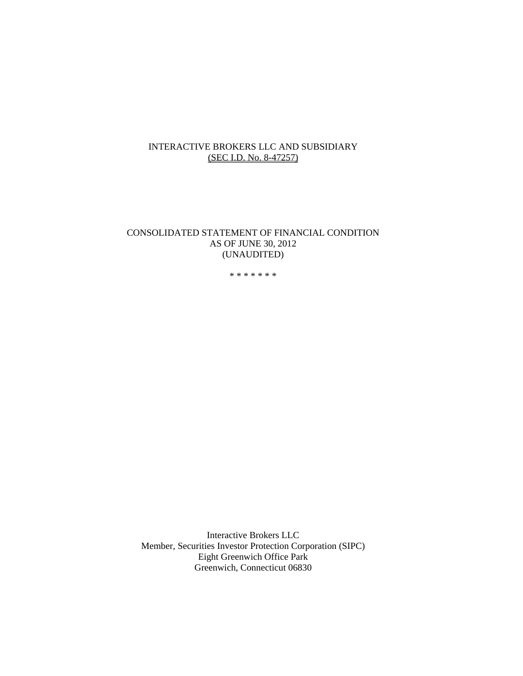# INTERACTIVE BROKERS LLC AND SUBSIDIARY (SEC I.D. No. 8-47257)

### CONSOLIDATED STATEMENT OF FINANCIAL CONDITION AS OF JUNE 30, 2012 (UNAUDITED)

\* \* \* \* \* \* \*

Interactive Brokers LLC Member, Securities Investor Protection Corporation (SIPC) Eight Greenwich Office Park Greenwich, Connecticut 06830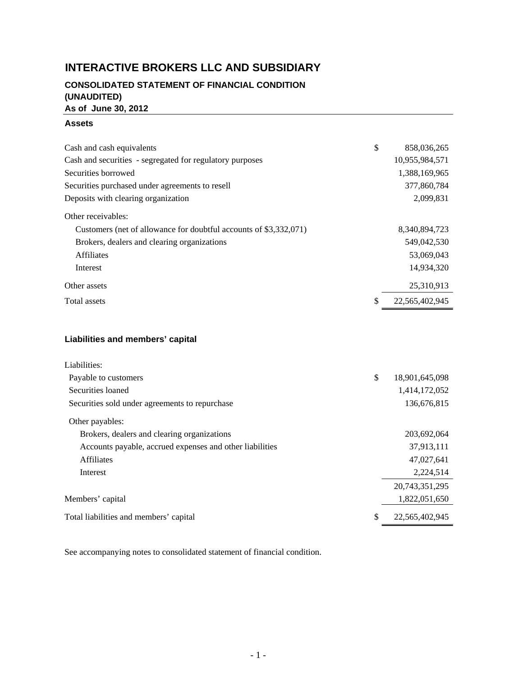# **INTERACTIVE BROKERS LLC AND SUBSIDIARY**

# **CONSOLIDATED STATEMENT OF FINANCIAL CONDITION (UNAUDITED) As of June 30, 2012**

### **Assets**

| Cash and cash equivalents                                         | \$<br>858,036,265    |
|-------------------------------------------------------------------|----------------------|
| Cash and securities - segregated for regulatory purposes          | 10,955,984,571       |
| Securities borrowed                                               | 1,388,169,965        |
| Securities purchased under agreements to resell                   | 377,860,784          |
| Deposits with clearing organization                               | 2,099,831            |
| Other receivables:                                                |                      |
| Customers (net of allowance for doubtful accounts of \$3,332,071) | 8,340,894,723        |
| Brokers, dealers and clearing organizations                       | 549,042,530          |
| <b>Affiliates</b>                                                 | 53,069,043           |
| Interest                                                          | 14,934,320           |
| Other assets                                                      | 25,310,913           |
| Total assets                                                      | \$<br>22,565,402,945 |
|                                                                   |                      |
|                                                                   |                      |

# **Liabilities and members' capital**

| Liabilities:                                             |                      |
|----------------------------------------------------------|----------------------|
| Payable to customers                                     | \$<br>18,901,645,098 |
| Securities loaned                                        | 1,414,172,052        |
| Securities sold under agreements to repurchase           | 136,676,815          |
| Other payables:                                          |                      |
| Brokers, dealers and clearing organizations              | 203,692,064          |
| Accounts payable, accrued expenses and other liabilities | 37,913,111           |
| <b>Affiliates</b>                                        | 47,027,641           |
| Interest                                                 | 2,224,514            |
|                                                          | 20,743,351,295       |
| Members' capital                                         | 1,822,051,650        |
| Total liabilities and members' capital                   | \$<br>22,565,402,945 |

See accompanying notes to consolidated statement of financial condition.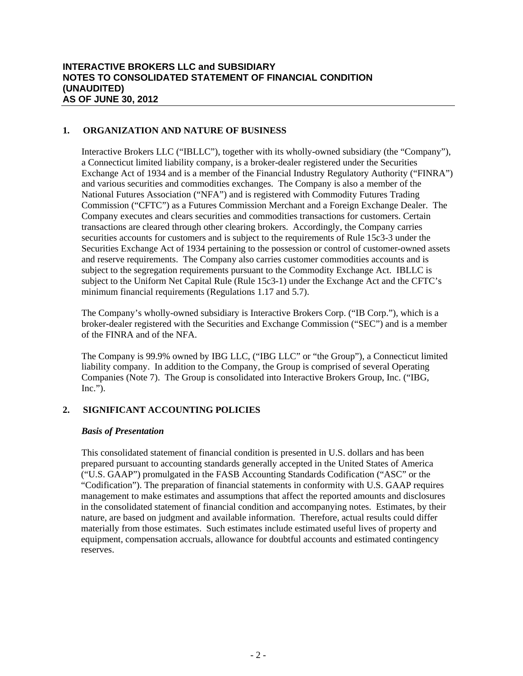### **1. ORGANIZATION AND NATURE OF BUSINESS**

Interactive Brokers LLC ("IBLLC"), together with its wholly-owned subsidiary (the "Company"), a Connecticut limited liability company, is a broker-dealer registered under the Securities Exchange Act of 1934 and is a member of the Financial Industry Regulatory Authority ("FINRA") and various securities and commodities exchanges. The Company is also a member of the National Futures Association ("NFA") and is registered with Commodity Futures Trading Commission ("CFTC") as a Futures Commission Merchant and a Foreign Exchange Dealer. The Company executes and clears securities and commodities transactions for customers. Certain transactions are cleared through other clearing brokers. Accordingly, the Company carries securities accounts for customers and is subject to the requirements of Rule 15c3-3 under the Securities Exchange Act of 1934 pertaining to the possession or control of customer-owned assets and reserve requirements. The Company also carries customer commodities accounts and is subject to the segregation requirements pursuant to the Commodity Exchange Act. IBLLC is subject to the Uniform Net Capital Rule (Rule 15c3-1) under the Exchange Act and the CFTC's minimum financial requirements (Regulations 1.17 and 5.7).

The Company's wholly-owned subsidiary is Interactive Brokers Corp. ("IB Corp."), which is a broker-dealer registered with the Securities and Exchange Commission ("SEC") and is a member of the FINRA and of the NFA.

The Company is 99.9% owned by IBG LLC, ("IBG LLC" or "the Group"), a Connecticut limited liability company. In addition to the Company, the Group is comprised of several Operating Companies (Note 7). The Group is consolidated into Interactive Brokers Group, Inc. ("IBG,  $Inc.'$ ).

# **2. SIGNIFICANT ACCOUNTING POLICIES**

### *Basis of Presentation*

This consolidated statement of financial condition is presented in U.S. dollars and has been prepared pursuant to accounting standards generally accepted in the United States of America ("U.S. GAAP") promulgated in the FASB Accounting Standards Codification ("ASC" or the "Codification"). The preparation of financial statements in conformity with U.S. GAAP requires management to make estimates and assumptions that affect the reported amounts and disclosures in the consolidated statement of financial condition and accompanying notes. Estimates, by their nature, are based on judgment and available information. Therefore, actual results could differ materially from those estimates. Such estimates include estimated useful lives of property and equipment, compensation accruals, allowance for doubtful accounts and estimated contingency reserves.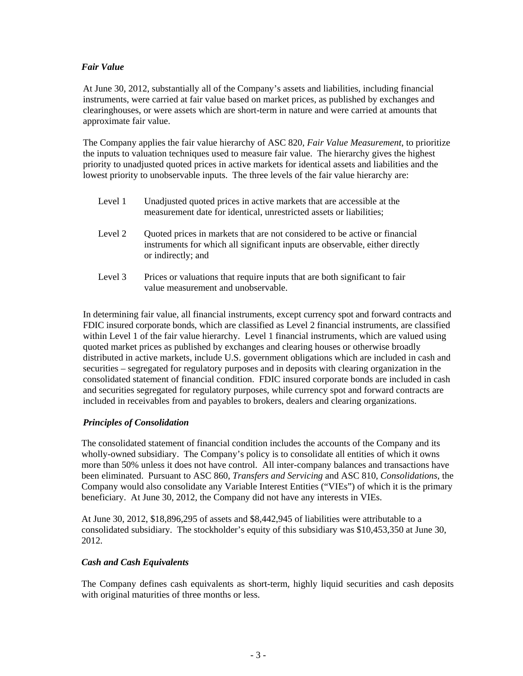### *Fair Value*

At June 30, 2012, substantially all of the Company's assets and liabilities, including financial instruments, were carried at fair value based on market prices, as published by exchanges and clearinghouses, or were assets which are short-term in nature and were carried at amounts that approximate fair value.

The Company applies the fair value hierarchy of ASC 820, *Fair Value Measurement*, to prioritize the inputs to valuation techniques used to measure fair value. The hierarchy gives the highest priority to unadjusted quoted prices in active markets for identical assets and liabilities and the lowest priority to unobservable inputs. The three levels of the fair value hierarchy are:

| Level 1 | Unadjusted quoted prices in active markets that are accessible at the<br>measurement date for identical, unrestricted assets or liabilities;                                     |
|---------|----------------------------------------------------------------------------------------------------------------------------------------------------------------------------------|
| Level 2 | Quoted prices in markets that are not considered to be active or financial<br>instruments for which all significant inputs are observable, either directly<br>or indirectly; and |
| Level 3 | Prices or valuations that require inputs that are both significant to fair                                                                                                       |

value measurement and unobservable.

In determining fair value, all financial instruments, except currency spot and forward contracts and FDIC insured corporate bonds, which are classified as Level 2 financial instruments, are classified within Level 1 of the fair value hierarchy. Level 1 financial instruments, which are valued using quoted market prices as published by exchanges and clearing houses or otherwise broadly distributed in active markets, include U.S. government obligations which are included in cash and securities – segregated for regulatory purposes and in deposits with clearing organization in the consolidated statement of financial condition. FDIC insured corporate bonds are included in cash and securities segregated for regulatory purposes, while currency spot and forward contracts are included in receivables from and payables to brokers, dealers and clearing organizations.

# *Principles of Consolidation*

The consolidated statement of financial condition includes the accounts of the Company and its wholly-owned subsidiary. The Company's policy is to consolidate all entities of which it owns more than 50% unless it does not have control. All inter-company balances and transactions have been eliminated. Pursuant to ASC 860, *Transfers and Servicing* and ASC 810, *Consolidations*, the Company would also consolidate any Variable Interest Entities ("VIEs") of which it is the primary beneficiary. At June 30, 2012, the Company did not have any interests in VIEs.

At June 30, 2012, \$18,896,295 of assets and \$8,442,945 of liabilities were attributable to a consolidated subsidiary. The stockholder's equity of this subsidiary was \$10,453,350 at June 30, 2012.

### *Cash and Cash Equivalents*

The Company defines cash equivalents as short-term, highly liquid securities and cash deposits with original maturities of three months or less.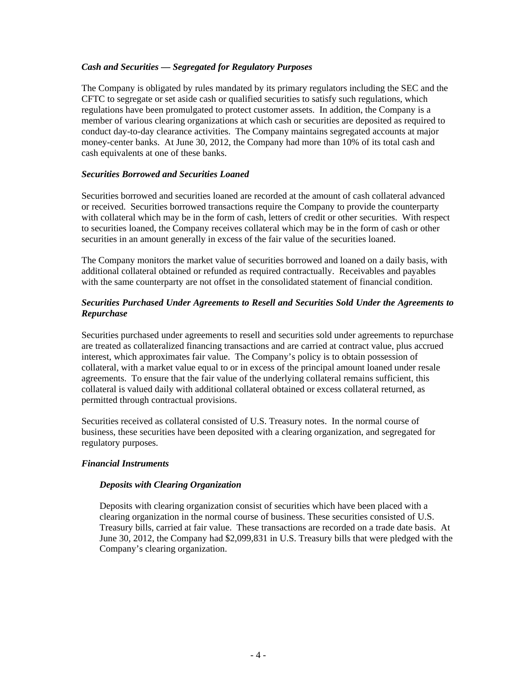### *Cash and Securities — Segregated for Regulatory Purposes*

The Company is obligated by rules mandated by its primary regulators including the SEC and the CFTC to segregate or set aside cash or qualified securities to satisfy such regulations, which regulations have been promulgated to protect customer assets. In addition, the Company is a member of various clearing organizations at which cash or securities are deposited as required to conduct day-to-day clearance activities. The Company maintains segregated accounts at major money-center banks. At June 30, 2012, the Company had more than 10% of its total cash and cash equivalents at one of these banks.

### *Securities Borrowed and Securities Loaned*

Securities borrowed and securities loaned are recorded at the amount of cash collateral advanced or received. Securities borrowed transactions require the Company to provide the counterparty with collateral which may be in the form of cash, letters of credit or other securities. With respect to securities loaned, the Company receives collateral which may be in the form of cash or other securities in an amount generally in excess of the fair value of the securities loaned.

The Company monitors the market value of securities borrowed and loaned on a daily basis, with additional collateral obtained or refunded as required contractually. Receivables and payables with the same counterparty are not offset in the consolidated statement of financial condition.

## *Securities Purchased Under Agreements to Resell and Securities Sold Under the Agreements to Repurchase*

Securities purchased under agreements to resell and securities sold under agreements to repurchase are treated as collateralized financing transactions and are carried at contract value, plus accrued interest, which approximates fair value. The Company's policy is to obtain possession of collateral, with a market value equal to or in excess of the principal amount loaned under resale agreements. To ensure that the fair value of the underlying collateral remains sufficient, this collateral is valued daily with additional collateral obtained or excess collateral returned, as permitted through contractual provisions.

Securities received as collateral consisted of U.S. Treasury notes. In the normal course of business, these securities have been deposited with a clearing organization, and segregated for regulatory purposes.

### *Financial Instruments*

### *Deposits with Clearing Organization*

Deposits with clearing organization consist of securities which have been placed with a clearing organization in the normal course of business. These securities consisted of U.S. Treasury bills, carried at fair value. These transactions are recorded on a trade date basis. At June 30, 2012, the Company had \$2,099,831 in U.S. Treasury bills that were pledged with the Company's clearing organization.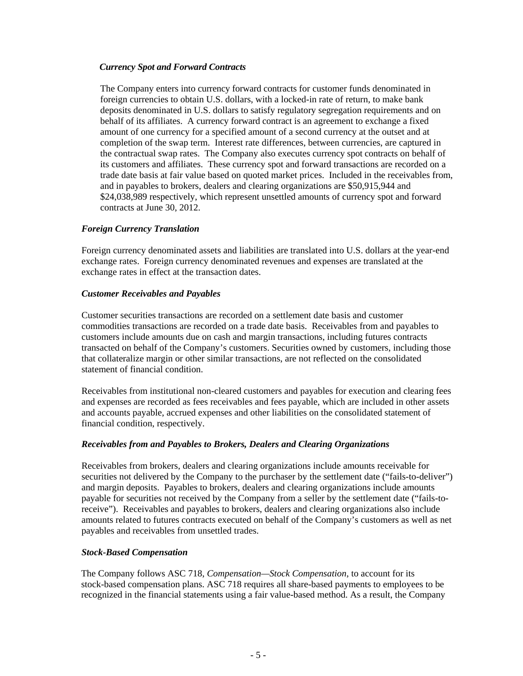### *Currency Spot and Forward Contracts*

The Company enters into currency forward contracts for customer funds denominated in foreign currencies to obtain U.S. dollars, with a locked-in rate of return, to make bank deposits denominated in U.S. dollars to satisfy regulatory segregation requirements and on behalf of its affiliates. A currency forward contract is an agreement to exchange a fixed amount of one currency for a specified amount of a second currency at the outset and at completion of the swap term. Interest rate differences, between currencies, are captured in the contractual swap rates. The Company also executes currency spot contracts on behalf of its customers and affiliates. These currency spot and forward transactions are recorded on a trade date basis at fair value based on quoted market prices. Included in the receivables from, and in payables to brokers, dealers and clearing organizations are \$50,915,944 and \$24,038,989 respectively, which represent unsettled amounts of currency spot and forward contracts at June 30, 2012.

### *Foreign Currency Translation*

Foreign currency denominated assets and liabilities are translated into U.S. dollars at the year-end exchange rates. Foreign currency denominated revenues and expenses are translated at the exchange rates in effect at the transaction dates.

### *Customer Receivables and Payables*

Customer securities transactions are recorded on a settlement date basis and customer commodities transactions are recorded on a trade date basis. Receivables from and payables to customers include amounts due on cash and margin transactions, including futures contracts transacted on behalf of the Company's customers. Securities owned by customers, including those that collateralize margin or other similar transactions, are not reflected on the consolidated statement of financial condition.

Receivables from institutional non-cleared customers and payables for execution and clearing fees and expenses are recorded as fees receivables and fees payable, which are included in other assets and accounts payable, accrued expenses and other liabilities on the consolidated statement of financial condition, respectively.

### *Receivables from and Payables to Brokers, Dealers and Clearing Organizations*

Receivables from brokers, dealers and clearing organizations include amounts receivable for securities not delivered by the Company to the purchaser by the settlement date ("fails-to-deliver") and margin deposits. Payables to brokers, dealers and clearing organizations include amounts payable for securities not received by the Company from a seller by the settlement date ("fails-toreceive"). Receivables and payables to brokers, dealers and clearing organizations also include amounts related to futures contracts executed on behalf of the Company's customers as well as net payables and receivables from unsettled trades.

### *Stock-Based Compensation*

The Company follows ASC 718, *Compensation—Stock Compensation*, to account for its stock-based compensation plans. ASC 718 requires all share-based payments to employees to be recognized in the financial statements using a fair value-based method. As a result, the Company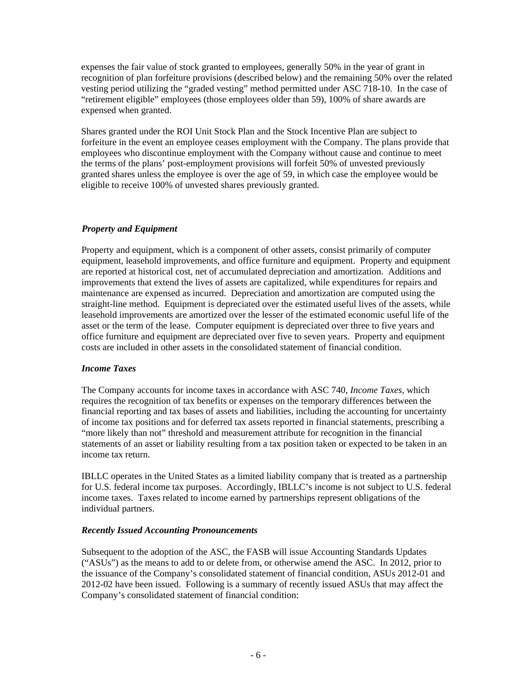expenses the fair value of stock granted to employees, generally 50% in the year of grant in recognition of plan forfeiture provisions (described below) and the remaining 50% over the related vesting period utilizing the "graded vesting" method permitted under ASC 718-10. In the case of "retirement eligible" employees (those employees older than 59), 100% of share awards are expensed when granted.

Shares granted under the ROI Unit Stock Plan and the Stock Incentive Plan are subject to forfeiture in the event an employee ceases employment with the Company. The plans provide that employees who discontinue employment with the Company without cause and continue to meet the terms of the plans' post-employment provisions will forfeit 50% of unvested previously granted shares unless the employee is over the age of 59, in which case the employee would be eligible to receive 100% of unvested shares previously granted.

### *Property and Equipment*

Property and equipment, which is a component of other assets, consist primarily of computer equipment, leasehold improvements, and office furniture and equipment. Property and equipment are reported at historical cost, net of accumulated depreciation and amortization. Additions and improvements that extend the lives of assets are capitalized, while expenditures for repairs and maintenance are expensed as incurred. Depreciation and amortization are computed using the straight-line method. Equipment is depreciated over the estimated useful lives of the assets, while leasehold improvements are amortized over the lesser of the estimated economic useful life of the asset or the term of the lease. Computer equipment is depreciated over three to five years and office furniture and equipment are depreciated over five to seven years. Property and equipment costs are included in other assets in the consolidated statement of financial condition.

### *Income Taxes*

The Company accounts for income taxes in accordance with ASC 740, *Income Taxes*, which requires the recognition of tax benefits or expenses on the temporary differences between the financial reporting and tax bases of assets and liabilities, including the accounting for uncertainty of income tax positions and for deferred tax assets reported in financial statements, prescribing a "more likely than not" threshold and measurement attribute for recognition in the financial statements of an asset or liability resulting from a tax position taken or expected to be taken in an income tax return.

IBLLC operates in the United States as a limited liability company that is treated as a partnership for U.S. federal income tax purposes. Accordingly, IBLLC's income is not subject to U.S. federal income taxes. Taxes related to income earned by partnerships represent obligations of the individual partners.

### *Recently Issued Accounting Pronouncements*

Subsequent to the adoption of the ASC, the FASB will issue Accounting Standards Updates ("ASUs") as the means to add to or delete from, or otherwise amend the ASC. In 2012, prior to the issuance of the Company's consolidated statement of financial condition, ASUs 2012-01 and 2012-02 have been issued. Following is a summary of recently issued ASUs that may affect the Company's consolidated statement of financial condition: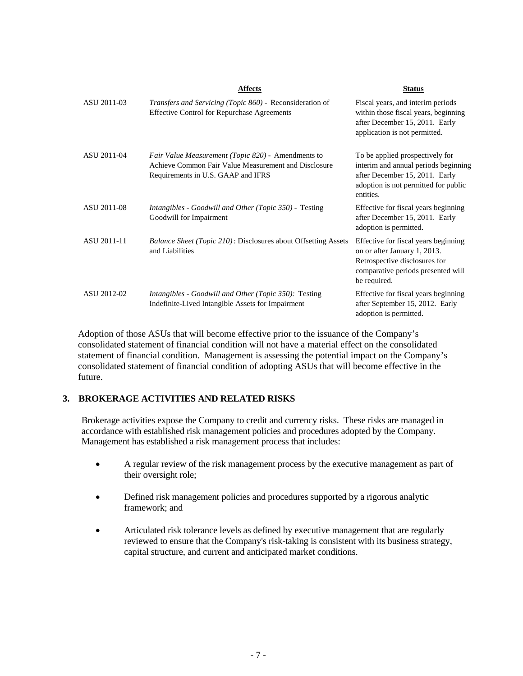|             | <b>Affects</b>                                                                                                                                   | <b>Status</b>                                                                                                                                                  |
|-------------|--------------------------------------------------------------------------------------------------------------------------------------------------|----------------------------------------------------------------------------------------------------------------------------------------------------------------|
| ASU 2011-03 | <i>Transfers and Servicing (Topic 860)</i> - Reconsideration of<br><b>Effective Control for Repurchase Agreements</b>                            | Fiscal years, and interim periods<br>within those fiscal years, beginning<br>after December 15, 2011. Early<br>application is not permitted.                   |
| ASU 2011-04 | Fair Value Measurement (Topic 820) - Amendments to<br>Achieve Common Fair Value Measurement and Disclosure<br>Requirements in U.S. GAAP and IFRS | To be applied prospectively for<br>interim and annual periods beginning<br>after December 15, 2011. Early<br>adoption is not permitted for public<br>entities. |
| ASU 2011-08 | <i>Intangibles - Goodwill and Other (Topic 350) - Testing</i><br>Goodwill for Impairment                                                         | Effective for fiscal years beginning<br>after December 15, 2011. Early<br>adoption is permitted.                                                               |
| ASU 2011-11 | <i>Balance Sheet (Topic 210): Disclosures about Offsetting Assets</i><br>and Liabilities                                                         | Effective for fiscal years beginning<br>on or after January 1, 2013.<br>Retrospective disclosures for<br>comparative periods presented will<br>be required.    |
| ASU 2012-02 | Intangibles - Goodwill and Other (Topic 350): Testing<br>Indefinite-Lived Intangible Assets for Impairment                                       | Effective for fiscal years beginning<br>after September 15, 2012. Early<br>adoption is permitted.                                                              |

Adoption of those ASUs that will become effective prior to the issuance of the Company's consolidated statement of financial condition will not have a material effect on the consolidated statement of financial condition. Management is assessing the potential impact on the Company's consolidated statement of financial condition of adopting ASUs that will become effective in the future.

### **3. BROKERAGE ACTIVITIES AND RELATED RISKS**

Brokerage activities expose the Company to credit and currency risks. These risks are managed in accordance with established risk management policies and procedures adopted by the Company. Management has established a risk management process that includes:

- A regular review of the risk management process by the executive management as part of their oversight role;
- Defined risk management policies and procedures supported by a rigorous analytic framework; and
- Articulated risk tolerance levels as defined by executive management that are regularly reviewed to ensure that the Company's risk-taking is consistent with its business strategy, capital structure, and current and anticipated market conditions.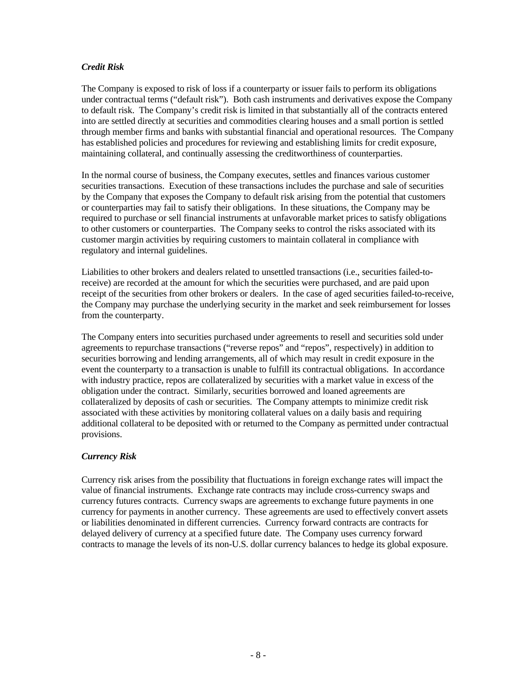### *Credit Risk*

The Company is exposed to risk of loss if a counterparty or issuer fails to perform its obligations under contractual terms ("default risk"). Both cash instruments and derivatives expose the Company to default risk. The Company's credit risk is limited in that substantially all of the contracts entered into are settled directly at securities and commodities clearing houses and a small portion is settled through member firms and banks with substantial financial and operational resources. The Company has established policies and procedures for reviewing and establishing limits for credit exposure, maintaining collateral, and continually assessing the creditworthiness of counterparties.

In the normal course of business, the Company executes, settles and finances various customer securities transactions. Execution of these transactions includes the purchase and sale of securities by the Company that exposes the Company to default risk arising from the potential that customers or counterparties may fail to satisfy their obligations. In these situations, the Company may be required to purchase or sell financial instruments at unfavorable market prices to satisfy obligations to other customers or counterparties. The Company seeks to control the risks associated with its customer margin activities by requiring customers to maintain collateral in compliance with regulatory and internal guidelines.

Liabilities to other brokers and dealers related to unsettled transactions (i.e., securities failed-toreceive) are recorded at the amount for which the securities were purchased, and are paid upon receipt of the securities from other brokers or dealers. In the case of aged securities failed-to-receive, the Company may purchase the underlying security in the market and seek reimbursement for losses from the counterparty.

The Company enters into securities purchased under agreements to resell and securities sold under agreements to repurchase transactions ("reverse repos" and "repos", respectively) in addition to securities borrowing and lending arrangements, all of which may result in credit exposure in the event the counterparty to a transaction is unable to fulfill its contractual obligations. In accordance with industry practice, repos are collateralized by securities with a market value in excess of the obligation under the contract. Similarly, securities borrowed and loaned agreements are collateralized by deposits of cash or securities. The Company attempts to minimize credit risk associated with these activities by monitoring collateral values on a daily basis and requiring additional collateral to be deposited with or returned to the Company as permitted under contractual provisions.

### *Currency Risk*

Currency risk arises from the possibility that fluctuations in foreign exchange rates will impact the value of financial instruments. Exchange rate contracts may include cross-currency swaps and currency futures contracts. Currency swaps are agreements to exchange future payments in one currency for payments in another currency. These agreements are used to effectively convert assets or liabilities denominated in different currencies. Currency forward contracts are contracts for delayed delivery of currency at a specified future date. The Company uses currency forward contracts to manage the levels of its non-U.S. dollar currency balances to hedge its global exposure.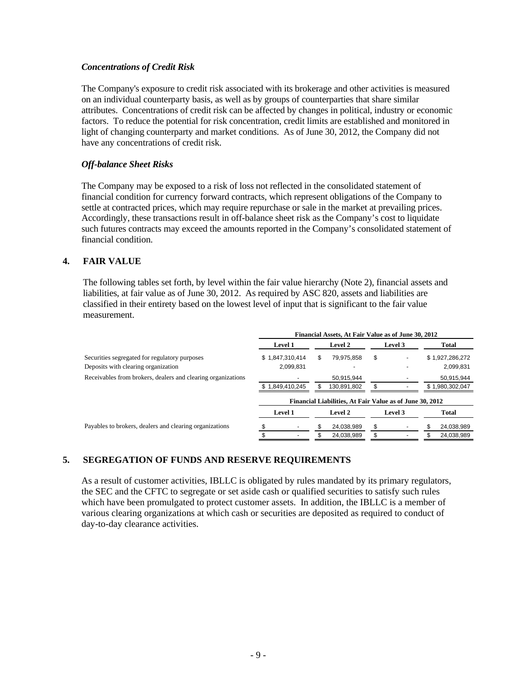### *Concentrations of Credit Risk*

The Company's exposure to credit risk associated with its brokerage and other activities is measured on an individual counterparty basis, as well as by groups of counterparties that share similar attributes. Concentrations of credit risk can be affected by changes in political, industry or economic factors. To reduce the potential for risk concentration, credit limits are established and monitored in light of changing counterparty and market conditions. As of June 30, 2012, the Company did not have any concentrations of credit risk.

### *Off-balance Sheet Risks*

The Company may be exposed to a risk of loss not reflected in the consolidated statement of financial condition for currency forward contracts, which represent obligations of the Company to settle at contracted prices, which may require repurchase or sale in the market at prevailing prices. Accordingly, these transactions result in off-balance sheet risk as the Company's cost to liquidate such futures contracts may exceed the amounts reported in the Company's consolidated statement of financial condition.

### **4. FAIR VALUE**

The following tables set forth, by level within the fair value hierarchy (Note 2), financial assets and liabilities, at fair value as of June 30, 2012. As required by ASC 820, assets and liabilities are classified in their entirety based on the lowest level of input that is significant to the fair value measurement.

|                                                              | Financial Assets, At Fair Value as of June 30, 2012 |                                                          |                  |         |     |                 |
|--------------------------------------------------------------|-----------------------------------------------------|----------------------------------------------------------|------------------|---------|-----|-----------------|
|                                                              | Level 1                                             | <b>Level 2</b>                                           |                  | Level 3 |     | Total           |
| Securities segregated for regulatory purposes                | \$1,847,310,414                                     | S                                                        | \$<br>79.975.858 |         |     | \$1,927,286,272 |
| Deposits with clearing organization                          | 2,099,831                                           |                                                          |                  |         |     | 2,099,831       |
| Receivables from brokers, dealers and clearing organizations |                                                     |                                                          | 50.915.944       |         |     | 50,915,944      |
|                                                              | \$1,849,410,245                                     | 130,891,802                                              |                  |         |     | \$1,980,302,047 |
|                                                              |                                                     | Financial Liabilities, At Fair Value as of June 30, 2012 |                  |         |     |                 |
|                                                              | Level 1                                             | <b>Level 2</b>                                           |                  | Level 3 |     | Total           |
| Payables to brokers, dealers and clearing organizations      |                                                     |                                                          | \$<br>24,038,989 |         | \$. | 24,038,989      |
|                                                              |                                                     |                                                          | \$<br>24.038.989 |         |     | 24,038,989      |

# **5. SEGREGATION OF FUNDS AND RESERVE REQUIREMENTS**

As a result of customer activities, IBLLC is obligated by rules mandated by its primary regulators, the SEC and the CFTC to segregate or set aside cash or qualified securities to satisfy such rules which have been promulgated to protect customer assets. In addition, the IBLLC is a member of various clearing organizations at which cash or securities are deposited as required to conduct of day-to-day clearance activities.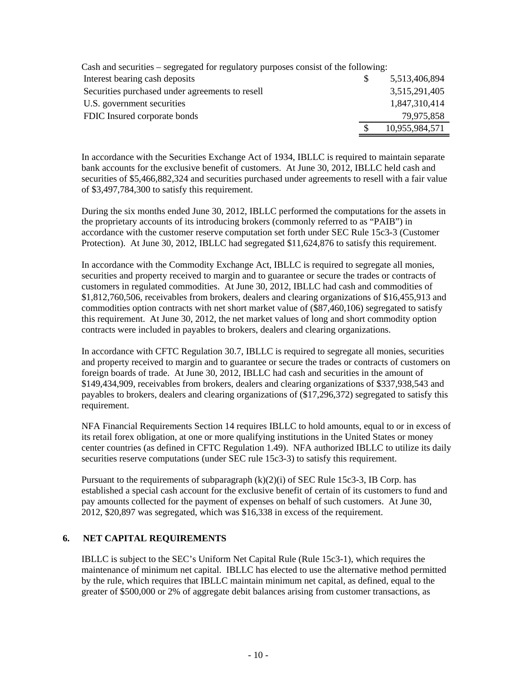| Cash and securities – segregated for regulatory purposes consist of the following: |                |
|------------------------------------------------------------------------------------|----------------|
| Interest bearing cash deposits                                                     | 5,513,406,894  |
| Securities purchased under agreements to resell                                    | 3,515,291,405  |
| U.S. government securities                                                         | 1,847,310,414  |
| FDIC Insured corporate bonds                                                       | 79,975,858     |
|                                                                                    | 10,955,984,571 |
|                                                                                    |                |

In accordance with the Securities Exchange Act of 1934, IBLLC is required to maintain separate bank accounts for the exclusive benefit of customers. At June 30, 2012, IBLLC held cash and securities of \$5,466,882,324 and securities purchased under agreements to resell with a fair value of \$3,497,784,300 to satisfy this requirement.

During the six months ended June 30, 2012, IBLLC performed the computations for the assets in the proprietary accounts of its introducing brokers (commonly referred to as "PAIB") in accordance with the customer reserve computation set forth under SEC Rule 15c3-3 (Customer Protection). At June 30, 2012, IBLLC had segregated \$11,624,876 to satisfy this requirement.

In accordance with the Commodity Exchange Act, IBLLC is required to segregate all monies, securities and property received to margin and to guarantee or secure the trades or contracts of customers in regulated commodities. At June 30, 2012, IBLLC had cash and commodities of \$1,812,760,506, receivables from brokers, dealers and clearing organizations of \$16,455,913 and commodities option contracts with net short market value of (\$87,460,106) segregated to satisfy this requirement. At June 30, 2012, the net market values of long and short commodity option contracts were included in payables to brokers, dealers and clearing organizations.

In accordance with CFTC Regulation 30.7, IBLLC is required to segregate all monies, securities and property received to margin and to guarantee or secure the trades or contracts of customers on foreign boards of trade. At June 30, 2012, IBLLC had cash and securities in the amount of \$149,434,909, receivables from brokers, dealers and clearing organizations of \$337,938,543 and payables to brokers, dealers and clearing organizations of (\$17,296,372) segregated to satisfy this requirement.

NFA Financial Requirements Section 14 requires IBLLC to hold amounts, equal to or in excess of its retail forex obligation, at one or more qualifying institutions in the United States or money center countries (as defined in CFTC Regulation 1.49). NFA authorized IBLLC to utilize its daily securities reserve computations (under SEC rule 15c3-3) to satisfy this requirement.

Pursuant to the requirements of subparagraph  $(k)(2)(i)$  of SEC Rule 15c3-3, IB Corp. has established a special cash account for the exclusive benefit of certain of its customers to fund and pay amounts collected for the payment of expenses on behalf of such customers. At June 30, 2012, \$20,897 was segregated, which was \$16,338 in excess of the requirement.

### **6. NET CAPITAL REQUIREMENTS**

IBLLC is subject to the SEC's Uniform Net Capital Rule (Rule 15c3-1), which requires the maintenance of minimum net capital. IBLLC has elected to use the alternative method permitted by the rule, which requires that IBLLC maintain minimum net capital, as defined, equal to the greater of \$500,000 or 2% of aggregate debit balances arising from customer transactions, as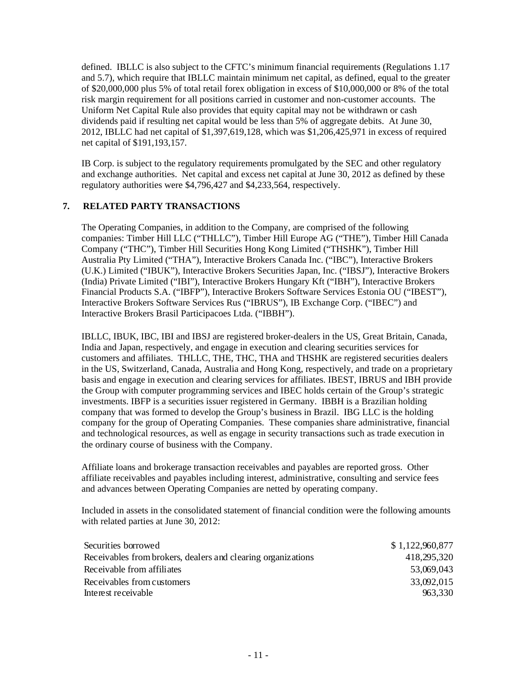defined. IBLLC is also subject to the CFTC's minimum financial requirements (Regulations 1.17 and 5.7), which require that IBLLC maintain minimum net capital, as defined, equal to the greater of \$20,000,000 plus 5% of total retail forex obligation in excess of \$10,000,000 or 8% of the total risk margin requirement for all positions carried in customer and non-customer accounts. The Uniform Net Capital Rule also provides that equity capital may not be withdrawn or cash dividends paid if resulting net capital would be less than 5% of aggregate debits. At June 30, 2012, IBLLC had net capital of \$1,397,619,128, which was \$1,206,425,971 in excess of required net capital of \$191,193,157.

IB Corp. is subject to the regulatory requirements promulgated by the SEC and other regulatory and exchange authorities. Net capital and excess net capital at June 30, 2012 as defined by these regulatory authorities were \$4,796,427 and \$4,233,564, respectively.

# **7. RELATED PARTY TRANSACTIONS**

The Operating Companies, in addition to the Company, are comprised of the following companies: Timber Hill LLC ("THLLC"), Timber Hill Europe AG ("THE"), Timber Hill Canada Company ("THC"), Timber Hill Securities Hong Kong Limited ("THSHK"), Timber Hill Australia Pty Limited ("THA"), Interactive Brokers Canada Inc. ("IBC"), Interactive Brokers (U.K.) Limited ("IBUK"), Interactive Brokers Securities Japan, Inc. ("IBSJ"), Interactive Brokers (India) Private Limited ("IBI"), Interactive Brokers Hungary Kft ("IBH"), Interactive Brokers Financial Products S.A. ("IBFP"), Interactive Brokers Software Services Estonia OU ("IBEST"), Interactive Brokers Software Services Rus ("IBRUS"), IB Exchange Corp. ("IBEC") and Interactive Brokers Brasil Participacoes Ltda. ("IBBH").

IBLLC, IBUK, IBC, IBI and IBSJ are registered broker-dealers in the US, Great Britain, Canada, India and Japan, respectively, and engage in execution and clearing securities services for customers and affiliates. THLLC, THE, THC, THA and THSHK are registered securities dealers in the US, Switzerland, Canada, Australia and Hong Kong, respectively, and trade on a proprietary basis and engage in execution and clearing services for affiliates. IBEST, IBRUS and IBH provide the Group with computer programming services and IBEC holds certain of the Group's strategic investments. IBFP is a securities issuer registered in Germany. IBBH is a Brazilian holding company that was formed to develop the Group's business in Brazil. IBG LLC is the holding company for the group of Operating Companies. These companies share administrative, financial and technological resources, as well as engage in security transactions such as trade execution in the ordinary course of business with the Company.

Affiliate loans and brokerage transaction receivables and payables are reported gross. Other affiliate receivables and payables including interest, administrative, consulting and service fees and advances between Operating Companies are netted by operating company.

Included in assets in the consolidated statement of financial condition were the following amounts with related parties at June 30, 2012:

| Securities borrowed                                          | \$1,122,960,877 |
|--------------------------------------------------------------|-----------------|
| Receivables from brokers, dealers and clearing organizations | 418,295,320     |
| Receivable from affiliates                                   | 53,069,043      |
| Receivables from customers                                   | 33,092,015      |
| Interest receivable                                          | 963.330         |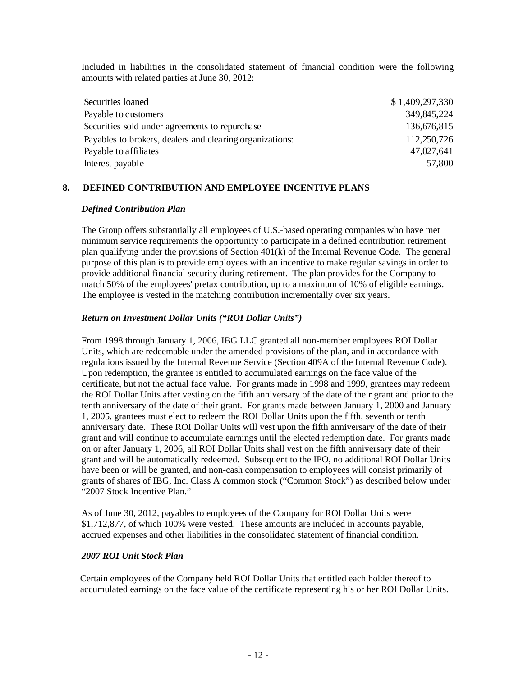Included in liabilities in the consolidated statement of financial condition were the following amounts with related parties at June 30, 2012:

| Securities loaned                                        | \$1,409,297,330 |
|----------------------------------------------------------|-----------------|
| Payable to customers                                     | 349,845,224     |
| Securities sold under agreements to repurchase           | 136,676,815     |
| Payables to brokers, dealers and clearing organizations: | 112,250,726     |
| Payable to affiliates                                    | 47,027,641      |
| Interest payable                                         | 57,800          |

### **8. DEFINED CONTRIBUTION AND EMPLOYEE INCENTIVE PLANS**

### *Defined Contribution Plan*

The Group offers substantially all employees of U.S.-based operating companies who have met minimum service requirements the opportunity to participate in a defined contribution retirement plan qualifying under the provisions of Section 401(k) of the Internal Revenue Code. The general purpose of this plan is to provide employees with an incentive to make regular savings in order to provide additional financial security during retirement. The plan provides for the Company to match 50% of the employees' pretax contribution, up to a maximum of 10% of eligible earnings. The employee is vested in the matching contribution incrementally over six years.

### *Return on Investment Dollar Units ("ROI Dollar Units")*

From 1998 through January 1, 2006, IBG LLC granted all non-member employees ROI Dollar Units, which are redeemable under the amended provisions of the plan, and in accordance with regulations issued by the Internal Revenue Service (Section 409A of the Internal Revenue Code). Upon redemption, the grantee is entitled to accumulated earnings on the face value of the certificate, but not the actual face value. For grants made in 1998 and 1999, grantees may redeem the ROI Dollar Units after vesting on the fifth anniversary of the date of their grant and prior to the tenth anniversary of the date of their grant. For grants made between January 1, 2000 and January 1, 2005, grantees must elect to redeem the ROI Dollar Units upon the fifth, seventh or tenth anniversary date. These ROI Dollar Units will vest upon the fifth anniversary of the date of their grant and will continue to accumulate earnings until the elected redemption date. For grants made on or after January 1, 2006, all ROI Dollar Units shall vest on the fifth anniversary date of their grant and will be automatically redeemed. Subsequent to the IPO, no additional ROI Dollar Units have been or will be granted, and non-cash compensation to employees will consist primarily of grants of shares of IBG, Inc. Class A common stock ("Common Stock") as described below under "2007 Stock Incentive Plan."

As of June 30, 2012, payables to employees of the Company for ROI Dollar Units were \$1,712,877, of which 100% were vested. These amounts are included in accounts payable, accrued expenses and other liabilities in the consolidated statement of financial condition.

### *2007 ROI Unit Stock Plan*

Certain employees of the Company held ROI Dollar Units that entitled each holder thereof to accumulated earnings on the face value of the certificate representing his or her ROI Dollar Units.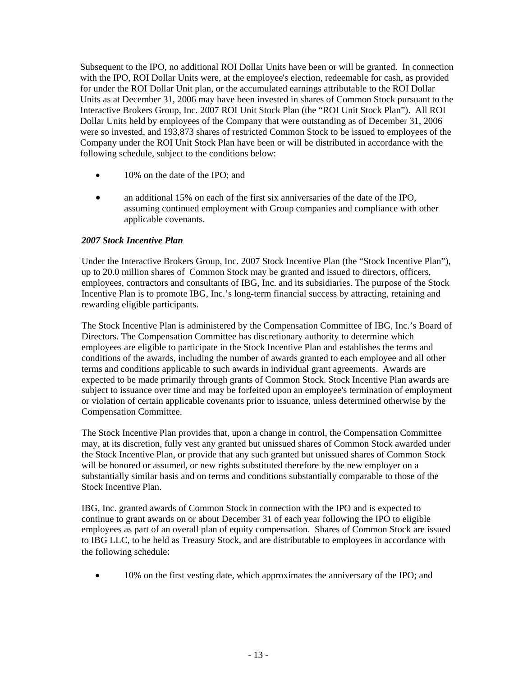Subsequent to the IPO, no additional ROI Dollar Units have been or will be granted. In connection with the IPO, ROI Dollar Units were, at the employee's election, redeemable for cash, as provided for under the ROI Dollar Unit plan, or the accumulated earnings attributable to the ROI Dollar Units as at December 31, 2006 may have been invested in shares of Common Stock pursuant to the Interactive Brokers Group, Inc. 2007 ROI Unit Stock Plan (the "ROI Unit Stock Plan"). All ROI Dollar Units held by employees of the Company that were outstanding as of December 31, 2006 were so invested, and 193,873 shares of restricted Common Stock to be issued to employees of the Company under the ROI Unit Stock Plan have been or will be distributed in accordance with the following schedule, subject to the conditions below:

- 10% on the date of the IPO; and
- an additional 15% on each of the first six anniversaries of the date of the IPO, assuming continued employment with Group companies and compliance with other applicable covenants.

### *2007 Stock Incentive Plan*

Under the Interactive Brokers Group, Inc. 2007 Stock Incentive Plan (the "Stock Incentive Plan"), up to 20.0 million shares of Common Stock may be granted and issued to directors, officers, employees, contractors and consultants of IBG, Inc. and its subsidiaries. The purpose of the Stock Incentive Plan is to promote IBG, Inc.'s long-term financial success by attracting, retaining and rewarding eligible participants.

The Stock Incentive Plan is administered by the Compensation Committee of IBG, Inc.'s Board of Directors. The Compensation Committee has discretionary authority to determine which employees are eligible to participate in the Stock Incentive Plan and establishes the terms and conditions of the awards, including the number of awards granted to each employee and all other terms and conditions applicable to such awards in individual grant agreements. Awards are expected to be made primarily through grants of Common Stock. Stock Incentive Plan awards are subject to issuance over time and may be forfeited upon an employee's termination of employment or violation of certain applicable covenants prior to issuance, unless determined otherwise by the Compensation Committee.

The Stock Incentive Plan provides that, upon a change in control, the Compensation Committee may, at its discretion, fully vest any granted but unissued shares of Common Stock awarded under the Stock Incentive Plan, or provide that any such granted but unissued shares of Common Stock will be honored or assumed, or new rights substituted therefore by the new employer on a substantially similar basis and on terms and conditions substantially comparable to those of the Stock Incentive Plan.

IBG, Inc. granted awards of Common Stock in connection with the IPO and is expected to continue to grant awards on or about December 31 of each year following the IPO to eligible employees as part of an overall plan of equity compensation. Shares of Common Stock are issued to IBG LLC, to be held as Treasury Stock, and are distributable to employees in accordance with the following schedule:

• 10% on the first vesting date, which approximates the anniversary of the IPO; and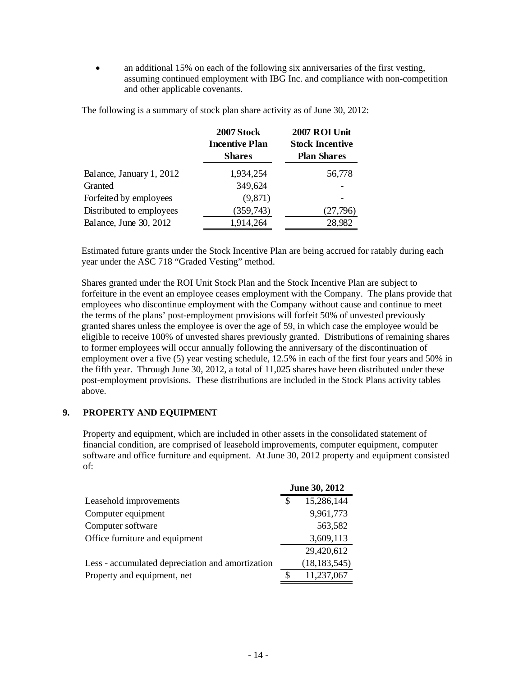• an additional 15% on each of the following six anniversaries of the first vesting, assuming continued employment with IBG Inc. and compliance with non-competition and other applicable covenants.

|                          | 2007 Stock<br><b>Incentive Plan</b><br><b>Shares</b> | 2007 ROI Unit<br><b>Stock Incentive</b><br><b>Plan Shares</b> |
|--------------------------|------------------------------------------------------|---------------------------------------------------------------|
| Balance, January 1, 2012 | 1,934,254                                            | 56,778                                                        |
| Granted                  | 349,624                                              |                                                               |
| Forfeited by employees   | (9,871)                                              |                                                               |
| Distributed to employees | (359,743)                                            | (27,796)                                                      |
| Balance, June 30, 2012   | 1,914,264                                            | 28,982                                                        |

The following is a summary of stock plan share activity as of June 30, 2012:

Estimated future grants under the Stock Incentive Plan are being accrued for ratably during each year under the ASC 718 "Graded Vesting" method.

Shares granted under the ROI Unit Stock Plan and the Stock Incentive Plan are subject to forfeiture in the event an employee ceases employment with the Company. The plans provide that employees who discontinue employment with the Company without cause and continue to meet the terms of the plans' post-employment provisions will forfeit 50% of unvested previously granted shares unless the employee is over the age of 59, in which case the employee would be eligible to receive 100% of unvested shares previously granted. Distributions of remaining shares to former employees will occur annually following the anniversary of the discontinuation of employment over a five (5) year vesting schedule, 12.5% in each of the first four years and 50% in the fifth year. Through June 30, 2012, a total of 11,025 shares have been distributed under these post-employment provisions. These distributions are included in the Stock Plans activity tables above.

### **9. PROPERTY AND EQUIPMENT**

Property and equipment, which are included in other assets in the consolidated statement of financial condition, are comprised of leasehold improvements, computer equipment, computer software and office furniture and equipment. At June 30, 2012 property and equipment consisted of:

|                                                  | June 30, 2012 |                |  |
|--------------------------------------------------|---------------|----------------|--|
| Leasehold improvements                           | S             | 15,286,144     |  |
| Computer equipment                               |               | 9,961,773      |  |
| Computer software                                |               | 563,582        |  |
| Office furniture and equipment                   |               | 3,609,113      |  |
|                                                  |               | 29,420,612     |  |
| Less - accumulated depreciation and amortization |               | (18, 183, 545) |  |
| Property and equipment, net                      | S             | 11,237,067     |  |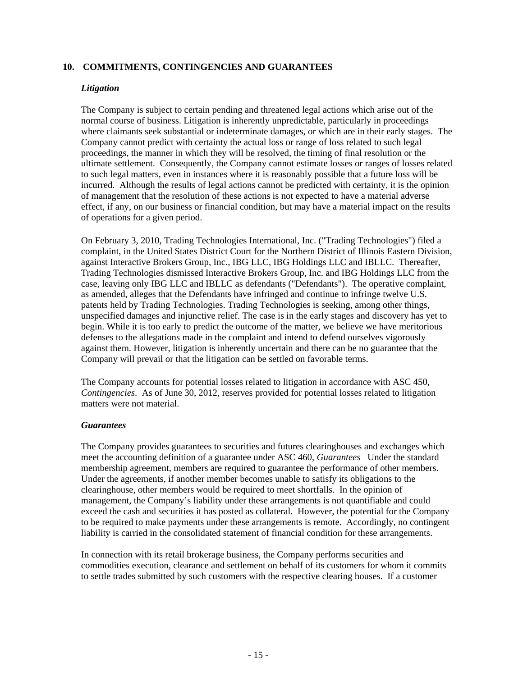### **10. COMMITMENTS, CONTINGENCIES AND GUARANTEES**

### *Litigation*

The Company is subject to certain pending and threatened legal actions which arise out of the normal course of business. Litigation is inherently unpredictable, particularly in proceedings where claimants seek substantial or indeterminate damages, or which are in their early stages. The Company cannot predict with certainty the actual loss or range of loss related to such legal proceedings, the manner in which they will be resolved, the timing of final resolution or the ultimate settlement. Consequently, the Company cannot estimate losses or ranges of losses related to such legal matters, even in instances where it is reasonably possible that a future loss will be incurred. Although the results of legal actions cannot be predicted with certainty, it is the opinion of management that the resolution of these actions is not expected to have a material adverse effect, if any, on our business or financial condition, but may have a material impact on the results of operations for a given period.

On February 3, 2010, Trading Technologies International, Inc. ("Trading Technologies") filed a complaint, in the United States District Court for the Northern District of Illinois Eastern Division, against Interactive Brokers Group, Inc., IBG LLC, IBG Holdings LLC and IBLLC. Thereafter, Trading Technologies dismissed Interactive Brokers Group, Inc. and IBG Holdings LLC from the case, leaving only IBG LLC and IBLLC as defendants ("Defendants"). The operative complaint, as amended, alleges that the Defendants have infringed and continue to infringe twelve U.S. patents held by Trading Technologies. Trading Technologies is seeking, among other things, unspecified damages and injunctive relief. The case is in the early stages and discovery has yet to begin. While it is too early to predict the outcome of the matter, we believe we have meritorious defenses to the allegations made in the complaint and intend to defend ourselves vigorously against them. However, litigation is inherently uncertain and there can be no guarantee that the Company will prevail or that the litigation can be settled on favorable terms.

The Company accounts for potential losses related to litigation in accordance with ASC 450, *Contingencies*. As of June 30, 2012, reserves provided for potential losses related to litigation matters were not material.

### *Guarantees*

The Company provides guarantees to securities and futures clearinghouses and exchanges which meet the accounting definition of a guarantee under ASC 460, *Guarantees* Under the standard membership agreement, members are required to guarantee the performance of other members. Under the agreements, if another member becomes unable to satisfy its obligations to the clearinghouse, other members would be required to meet shortfalls. In the opinion of management, the Company's liability under these arrangements is not quantifiable and could exceed the cash and securities it has posted as collateral. However, the potential for the Company to be required to make payments under these arrangements is remote. Accordingly, no contingent liability is carried in the consolidated statement of financial condition for these arrangements.

In connection with its retail brokerage business, the Company performs securities and commodities execution, clearance and settlement on behalf of its customers for whom it commits to settle trades submitted by such customers with the respective clearing houses. If a customer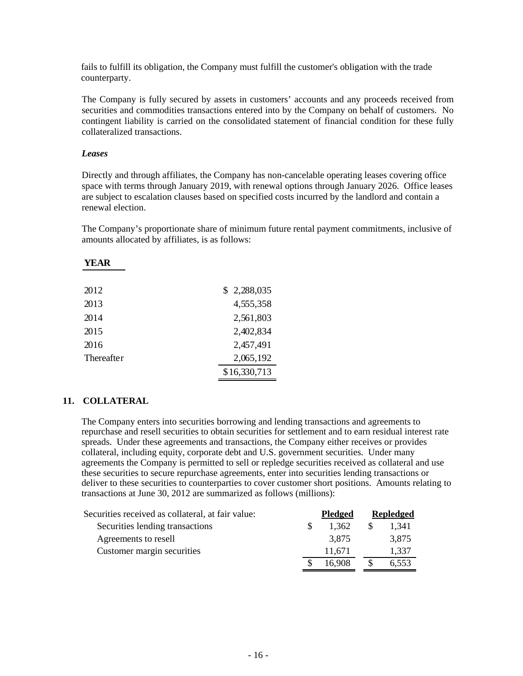fails to fulfill its obligation, the Company must fulfill the customer's obligation with the trade counterparty.

The Company is fully secured by assets in customers' accounts and any proceeds received from securities and commodities transactions entered into by the Company on behalf of customers. No contingent liability is carried on the consolidated statement of financial condition for these fully collateralized transactions.

### *Leases*

**YEAR**

Directly and through affiliates, the Company has non-cancelable operating leases covering office space with terms through January 2019, with renewal options through January 2026. Office leases are subject to escalation clauses based on specified costs incurred by the landlord and contain a renewal election.

The Company's proportionate share of minimum future rental payment commitments, inclusive of amounts allocated by affiliates, is as follows:

| 2012       | \$2,288,035  |
|------------|--------------|
| 2013       | 4,555,358    |
| 2014       | 2,561,803    |
| 2015       | 2,402,834    |
| 2016       | 2,457,491    |
| Thereafter | 2,065,192    |
|            | \$16,330,713 |
|            |              |

### **11. COLLATERAL**

The Company enters into securities borrowing and lending transactions and agreements to repurchase and resell securities to obtain securities for settlement and to earn residual interest rate spreads. Under these agreements and transactions, the Company either receives or provides collateral, including equity, corporate debt and U.S. government securities. Under many agreements the Company is permitted to sell or repledge securities received as collateral and use these securities to secure repurchase agreements, enter into securities lending transactions or deliver to these securities to counterparties to cover customer short positions. Amounts relating to transactions at June 30, 2012 are summarized as follows (millions):

| Securities received as collateral, at fair value: | <b>Pledged</b> | <b>Repledged</b> |
|---------------------------------------------------|----------------|------------------|
| Securities lending transactions                   | 1.362          | 1.341            |
| Agreements to resell                              | 3,875          | 3,875            |
| Customer margin securities                        | 11.671         | 1.337            |
|                                                   | 16.908         | 6,553            |